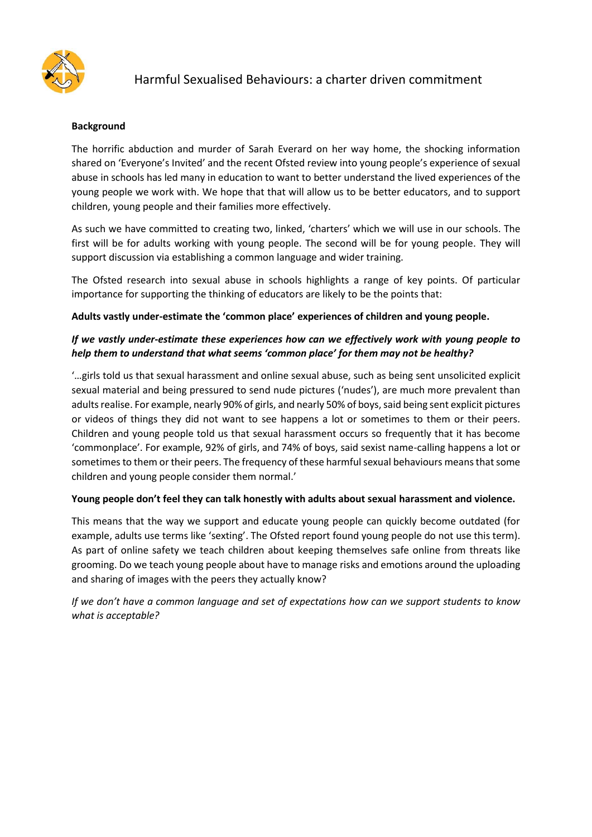

## Harmful Sexualised Behaviours: a charter driven commitment

#### **Background**

The horrific abduction and murder of Sarah Everard on her way home, the shocking information shared on 'Everyone's Invited' and the recent Ofsted review into young people's experience of sexual abuse in schools has led many in education to want to better understand the lived experiences of the young people we work with. We hope that that will allow us to be better educators, and to support children, young people and their families more effectively.

As such we have committed to creating two, linked, 'charters' which we will use in our schools. The first will be for adults working with young people. The second will be for young people. They will support discussion via establishing a common language and wider training.

The Ofsted research into sexual abuse in schools highlights a range of key points. Of particular importance for supporting the thinking of educators are likely to be the points that:

#### **Adults vastly under-estimate the 'common place' experiences of children and young people.**

## *If we vastly under-estimate these experiences how can we effectively work with young people to help them to understand that what seems 'common place' for them may not be healthy?*

'…girls told us that sexual harassment and online sexual abuse, such as being sent unsolicited explicit sexual material and being pressured to send nude pictures ('nudes'), are much more prevalent than adults realise. For example, nearly 90% of girls, and nearly 50% of boys, said being sent explicit pictures or videos of things they did not want to see happens a lot or sometimes to them or their peers. Children and young people told us that sexual harassment occurs so frequently that it has become 'commonplace'. For example, 92% of girls, and 74% of boys, said sexist name-calling happens a lot or sometimes to them or their peers. The frequency of these harmful sexual behaviours means that some children and young people consider them normal.'

#### **Young people don't feel they can talk honestly with adults about sexual harassment and violence.**

This means that the way we support and educate young people can quickly become outdated (for example, adults use terms like 'sexting'. The Ofsted report found young people do not use this term). As part of online safety we teach children about keeping themselves safe online from threats like grooming. Do we teach young people about have to manage risks and emotions around the uploading and sharing of images with the peers they actually know?

*If we don't have a common language and set of expectations how can we support students to know what is acceptable?*